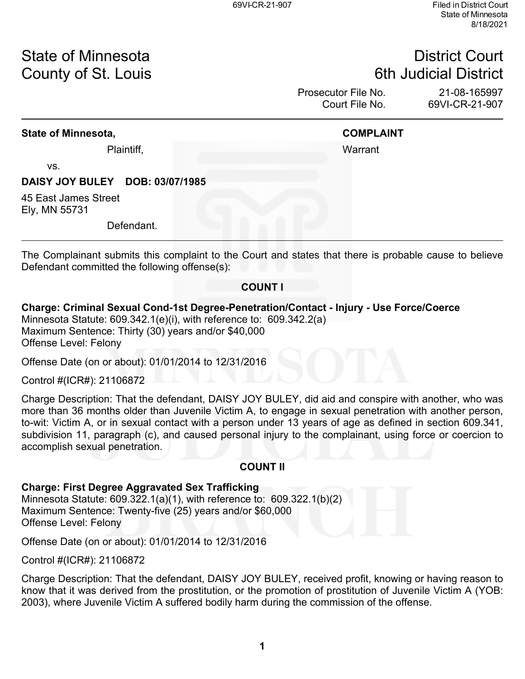# State of Minnesota **District Court** County of St. Louis **6th Judicial District**

Prosecutor File No. 21-08-165997 Court File No. 69VI-CR-21-907

## **State of Minnesota, COMPLAINT**

Plaintiff, Warrant

vs.

## **DAISY JOY BULEY DOB: 03/07/1985**

45 East James Street Ely, MN 55731

Defendant.

The Complainant submits this complaint to the Court and states that there is probable cause to believe Defendant committed the following offense(s):

### **COUNT I**

### **Charge: Criminal Sexual Cond-1st Degree-Penetration/Contact - Injury - Use Force/Coerce**

Minnesota Statute: 609.342.1(e)(i), with reference to: 609.342.2(a) Maximum Sentence: Thirty (30) years and/or \$40,000 Offense Level: Felony

Offense Date (on or about): 01/01/2014 to 12/31/2016

Control #(ICR#): 21106872

Charge Description: That the defendant, DAISY JOY BULEY, did aid and conspire with another, who was more than 36 months older than Juvenile Victim A, to engage in sexual penetration with another person, to-wit: Victim A, or in sexual contact with a person under 13 years of age as defined in section 609.341, subdivision 11, paragraph (c), and caused personal injury to the complainant, using force or coercion to accomplish sexual penetration.

### **COUNT II**

# **Charge: First Degree Aggravated Sex Trafficking**

Minnesota Statute: 609.322.1(a)(1), with reference to: 609.322.1(b)(2) Maximum Sentence: Twenty-five (25) years and/or \$60,000 Offense Level: Felony

Offense Date (on or about): 01/01/2014 to 12/31/2016

Control #(ICR#): 21106872

Charge Description: That the defendant, DAISY JOY BULEY, received profit, knowing or having reason to know that it was derived from the prostitution, or the promotion of prostitution of Juvenile Victim A (YOB: 2003), where Juvenile Victim A suffered bodily harm during the commission of the offense.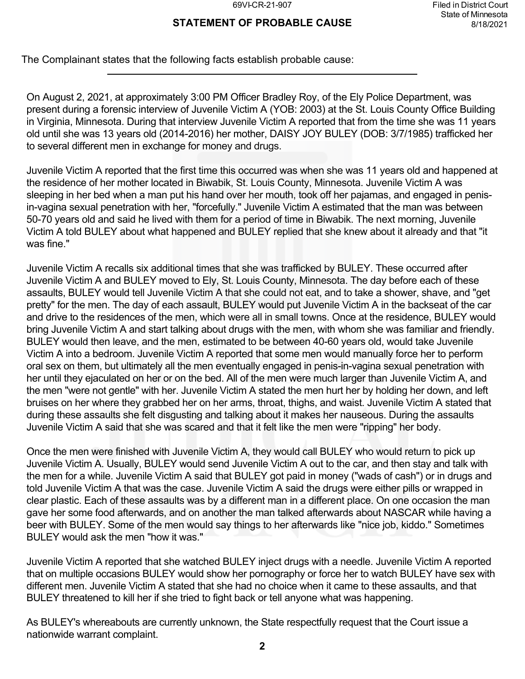### **STATEMENT OF PROBABLE CAUSE**

The Complainant states that the following facts establish probable cause:

On August 2, 2021, at approximately 3:00 PM Officer Bradley Roy, of the Ely Police Department, was present during a forensic interview of Juvenile Victim A (YOB: 2003) at the St. Louis County Office Building in Virginia, Minnesota. During that interview Juvenile Victim A reported that from the time she was 11 years old until she was 13 years old (2014-2016) her mother, DAISY JOY BULEY (DOB: 3/7/1985) trafficked her to several different men in exchange for money and drugs.

Juvenile Victim A reported that the first time this occurred was when she was 11 years old and happened at the residence of her mother located in Biwabik, St. Louis County, Minnesota. Juvenile Victim A was sleeping in her bed when a man put his hand over her mouth, took off her pajamas, and engaged in penisin-vagina sexual penetration with her, "forcefully." Juvenile Victim A estimated that the man was between 50-70 years old and said he lived with them for a period of time in Biwabik. The next morning, Juvenile Victim A told BULEY about what happened and BULEY replied that she knew about it already and that "it was fine."

Juvenile Victim A recalls six additional times that she was trafficked by BULEY. These occurred after Juvenile Victim A and BULEY moved to Ely, St. Louis County, Minnesota. The day before each of these assaults, BULEY would tell Juvenile Victim A that she could not eat, and to take a shower, shave, and "get pretty" for the men. The day of each assault, BULEY would put Juvenile Victim A in the backseat of the car and drive to the residences of the men, which were all in small towns. Once at the residence, BULEY would bring Juvenile Victim A and start talking about drugs with the men, with whom she was familiar and friendly. BULEY would then leave, and the men, estimated to be between 40-60 years old, would take Juvenile Victim A into a bedroom. Juvenile Victim A reported that some men would manually force her to perform oral sex on them, but ultimately all the men eventually engaged in penis-in-vagina sexual penetration with her until they ejaculated on her or on the bed. All of the men were much larger than Juvenile Victim A, and the men "were not gentle" with her. Juvenile Victim A stated the men hurt her by holding her down, and left bruises on her where they grabbed her on her arms, throat, thighs, and waist. Juvenile Victim A stated that during these assaults she felt disgusting and talking about it makes her nauseous. During the assaults Juvenile Victim A said that she was scared and that it felt like the men were "ripping" her body.

Once the men were finished with Juvenile Victim A, they would call BULEY who would return to pick up Juvenile Victim A. Usually, BULEY would send Juvenile Victim A out to the car, and then stay and talk with the men for a while. Juvenile Victim A said that BULEY got paid in money ("wads of cash") or in drugs and told Juvenile Victim A that was the case. Juvenile Victim A said the drugs were either pills or wrapped in clear plastic. Each of these assaults was by a different man in a different place. On one occasion the man gave her some food afterwards, and on another the man talked afterwards about NASCAR while having a beer with BULEY. Some of the men would say things to her afterwards like "nice job, kiddo." Sometimes BULEY would ask the men "how it was."

Juvenile Victim A reported that she watched BULEY inject drugs with a needle. Juvenile Victim A reported that on multiple occasions BULEY would show her pornography or force her to watch BULEY have sex with different men. Juvenile Victim A stated that she had no choice when it came to these assaults, and that BULEY threatened to kill her if she tried to fight back or tell anyone what was happening.

As BULEY's whereabouts are currently unknown, the State respectfully request that the Court issue a nationwide warrant complaint.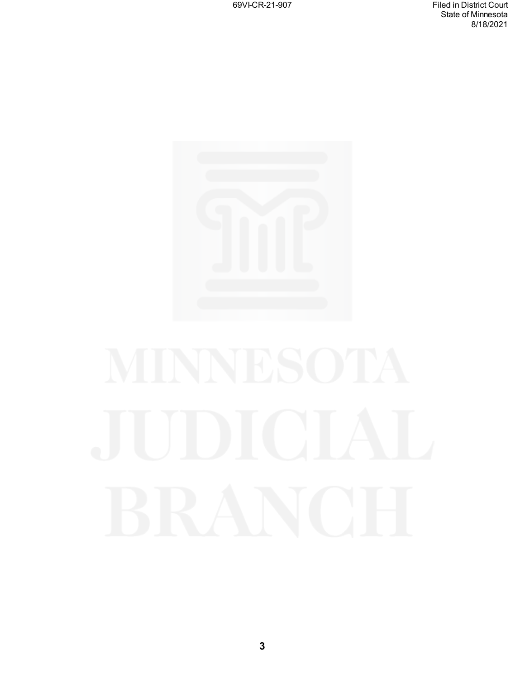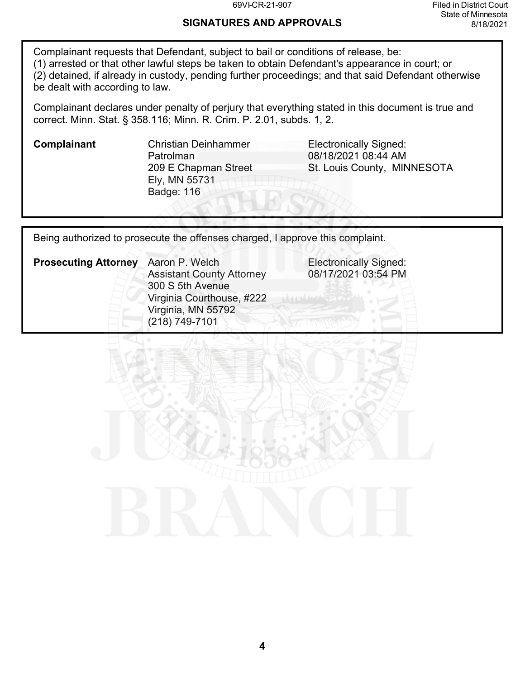## **SIGNATURES AND APPROVALS**

Complainant requests that Defendant, subject to bail or conditions of release, be: (1) arrested or that other lawful steps be taken to obtain Defendant's appearance in court; or (2) detained, if already in custody, pending further proceedings; and that said Defendant otherwise be dealt with according to law.

Complainant declares under penalty of perjury that everything stated in this document is true and correct. Minn. Stat. § 358.116; Minn. R. Crim. P. 2.01, subds. 1, 2.

**Complainant** Christian Deinhammer Electronically Signed: Patrolman 209 E Chapman Street Ely, MN 55731 Badge: 116

08/18/2021 08:44 AM St. Louis County, MINNESOTA

Being authorized to prosecute the offenses charged, I approve this complaint.

| <b>Prosecuting Attorney</b> | Aaron P. Welch<br><b>Assistant County Attorney</b> |  |  |  |
|-----------------------------|----------------------------------------------------|--|--|--|
|                             | 300 S 5th Avenue                                   |  |  |  |
|                             | Virginia Courthouse, #222                          |  |  |  |
|                             | Virginia, MN 55792                                 |  |  |  |
|                             | (218) 749-7101                                     |  |  |  |

**Electronically Signed:** 08/17/2021 03:54 PM

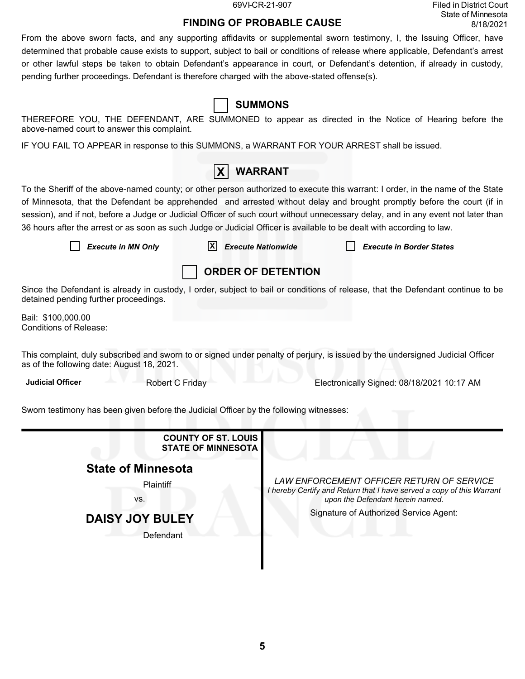69VI-CR-21-907 Filed in District Court State of Minnesota 8/18/2021

# **FINDING OF PROBABLE CAUSE**

From the above sworn facts, and any supporting affidavits or supplemental sworn testimony, I, the Issuing Officer, have determined that probable cause exists to support, subject to bail or conditions of release where applicable, Defendant's arrest or other lawful steps be taken to obtain Defendant's appearance in court, or Defendant's detention, if already in custody, pending further proceedings. Defendant is therefore charged with the above-stated offense(s).

**SUMMONS**

| above-named court to answer this complaint.                                                                            |                                                         | THEREFORE YOU, THE DEFENDANT, ARE SUMMONED to appear as directed in the Notice of Hearing before the                              |
|------------------------------------------------------------------------------------------------------------------------|---------------------------------------------------------|-----------------------------------------------------------------------------------------------------------------------------------|
| IF YOU FAIL TO APPEAR in response to this SUMMONS, a WARRANT FOR YOUR ARREST shall be issued.                          |                                                         |                                                                                                                                   |
|                                                                                                                        |                                                         |                                                                                                                                   |
|                                                                                                                        | <b>WARRANT</b><br>$\mathsf{X}$                          |                                                                                                                                   |
|                                                                                                                        |                                                         | To the Sheriff of the above-named county; or other person authorized to execute this warrant: I order, in the name of the State   |
|                                                                                                                        |                                                         | of Minnesota, that the Defendant be apprehended and arrested without delay and brought promptly before the court (if in           |
|                                                                                                                        |                                                         | session), and if not, before a Judge or Judicial Officer of such court without unnecessary delay, and in any event not later than |
| 36 hours after the arrest or as soon as such Judge or Judicial Officer is available to be dealt with according to law. |                                                         |                                                                                                                                   |
| <b>Execute in MN Only</b>                                                                                              | $ X $ Execute Nationwide                                | <b>Execute in Border States</b>                                                                                                   |
|                                                                                                                        | <b>ORDER OF DETENTION</b>                               |                                                                                                                                   |
| detained pending further proceedings.                                                                                  |                                                         | Since the Defendant is already in custody, I order, subject to bail or conditions of release, that the Defendant continue to be   |
| Bail: \$100,000.00<br><b>Conditions of Release:</b>                                                                    |                                                         |                                                                                                                                   |
| as of the following date: August 18, 2021.                                                                             |                                                         | This complaint, duly subscribed and sworn to or signed under penalty of perjury, is issued by the undersigned Judicial Officer    |
| <b>Judicial Officer</b><br>Robert C Friday                                                                             |                                                         | Electronically Signed: 08/18/2021 10:17 AM                                                                                        |
| Sworn testimony has been given before the Judicial Officer by the following witnesses:                                 |                                                         |                                                                                                                                   |
|                                                                                                                        | <b>COUNTY OF ST. LOUIS</b><br><b>STATE OF MINNESOTA</b> |                                                                                                                                   |
|                                                                                                                        |                                                         |                                                                                                                                   |
| <b>State of Minnesota</b>                                                                                              |                                                         |                                                                                                                                   |
| Plaintiff                                                                                                              |                                                         | LAW ENFORCEMENT OFFICER RETURN OF SERVICE<br>I hereby Certify and Return that I have served a copy of this Warrant                |
| VS.                                                                                                                    |                                                         | upon the Defendant herein named.                                                                                                  |

Signature of Authorized Service Agent:

**DAISY JOY BULEY**

Defendant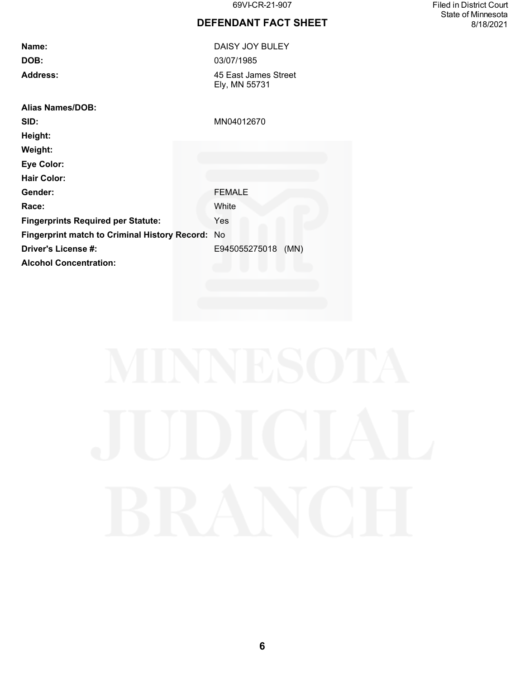### 69VI-CR-21-907 **Filed in District Court** State of Minnesota 8/18/2021

|  | <b>DEFENDANT FACT SHEET</b> |
|--|-----------------------------|

| Name:                                            | DAISY JOY BULEY                       |
|--------------------------------------------------|---------------------------------------|
| DOB:                                             | 03/07/1985                            |
| Address:                                         | 45 East James Street<br>Ely, MN 55731 |
| <b>Alias Names/DOB:</b>                          |                                       |
| SID:                                             | MN04012670                            |
| Height:                                          |                                       |
| Weight:                                          |                                       |
| <b>Eye Color:</b>                                |                                       |
| <b>Hair Color:</b>                               |                                       |
| Gender:                                          | <b>FEMALE</b>                         |
| Race:                                            | White                                 |
| <b>Fingerprints Required per Statute:</b>        | Yes                                   |
| Fingerprint match to Criminal History Record: No |                                       |
| Driver's License #:                              | E945055275018<br>(MN)                 |
| <b>Alcohol Concentration:</b>                    |                                       |